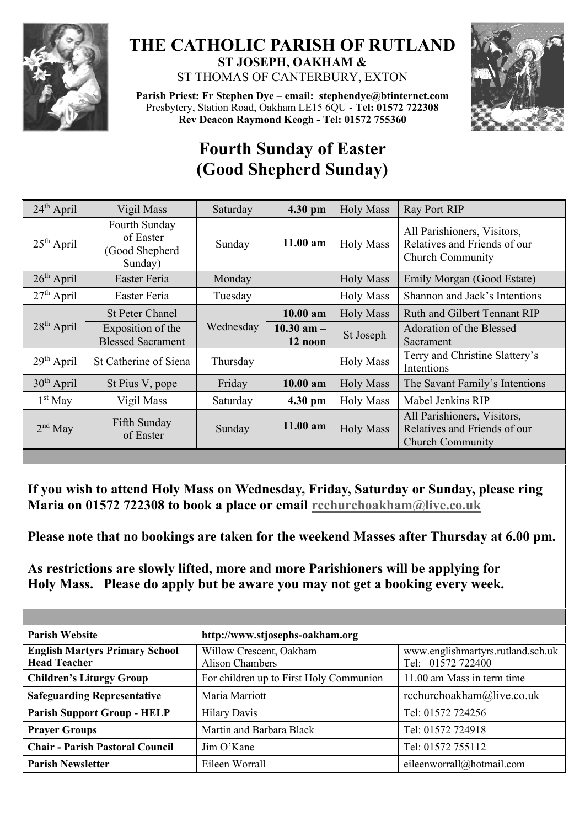

## **THE CATHOLIC PARISH OF RUTLAND ST JOSEPH, OAKHAM &**  ST THOMAS OF CANTERBURY, EXTON



**Parish Priest: Fr Stephen Dye** – **[email: stephendye@btinternet.com](mailto:email:%20%20stephendye@btinternet.com)** Presbytery, Station Road, Oakham LE15 6QU - **Tel: 01572 722308 Rev Deacon Raymond Keogh - Tel: 01572 755360**

## **Fourth Sunday of Easter (Good Shepherd Sunday)**

| $24th$ April | Vigil Mass                                              | Saturday  | 4.30 pm                   | <b>Holy Mass</b> | Ray Port RIP                                                                           |
|--------------|---------------------------------------------------------|-----------|---------------------------|------------------|----------------------------------------------------------------------------------------|
| $25th$ April | Fourth Sunday<br>of Easter<br>(Good Shepherd<br>Sunday) | Sunday    | $11.00$ am                | <b>Holy Mass</b> | All Parishioners, Visitors,<br>Relatives and Friends of our<br><b>Church Community</b> |
| $26th$ April | Easter Feria                                            | Monday    |                           | <b>Holy Mass</b> | Emily Morgan (Good Estate)                                                             |
| $27th$ April | Easter Feria                                            | Tuesday   |                           | <b>Holy Mass</b> | Shannon and Jack's Intentions                                                          |
| $28th$ April | <b>St Peter Chanel</b>                                  | Wednesday | $10.00$ am                | <b>Holy Mass</b> | <b>Ruth and Gilbert Tennant RIP</b>                                                    |
|              | Exposition of the<br><b>Blessed Sacrament</b>           |           | $10.30$ am $-$<br>12 noon | St Joseph        | Adoration of the Blessed<br>Sacrament                                                  |
| $29th$ April | St Catherine of Siena                                   | Thursday  |                           | <b>Holy Mass</b> | Terry and Christine Slattery's<br>Intentions                                           |
| $30th$ April | St Pius V, pope                                         | Friday    | 10.00 am                  | <b>Holy Mass</b> | The Savant Family's Intentions                                                         |
| $1st$ May    | Vigil Mass                                              | Saturday  | 4.30 pm                   | <b>Holy Mass</b> | Mabel Jenkins RIP                                                                      |
| $2nd$ May    | Fifth Sunday<br>of Easter                               | Sunday    | $11.00$ am                | <b>Holy Mass</b> | All Parishioners, Visitors,<br>Relatives and Friends of our<br><b>Church Community</b> |

**If you wish to attend Holy Mass on Wednesday, Friday, Saturday or Sunday, please ring Maria on 01572 722308 to book a place or email [rcchurchoakham@live.co.uk](mailto:rcchurchoakham@live.co.uk)**

**Please note that no bookings are taken for the weekend Masses after Thursday at 6.00 pm.**

**As restrictions are slowly lifted, more and more Parishioners will be applying for Holy Mass. Please do apply but be aware you may not get a booking every week.**

| <b>Parish Website</b>                                        | http://www.stjosephs-oakham.org                   |                                                        |  |  |
|--------------------------------------------------------------|---------------------------------------------------|--------------------------------------------------------|--|--|
| <b>English Martyrs Primary School</b><br><b>Head Teacher</b> | Willow Crescent, Oakham<br><b>Alison Chambers</b> | www.englishmartyrs.rutland.sch.uk<br>Tel: 01572 722400 |  |  |
| <b>Children's Liturgy Group</b>                              | For children up to First Holy Communion           | 11.00 am Mass in term time                             |  |  |
| <b>Safeguarding Representative</b>                           | Maria Marriott                                    | rcchurchoakham@live.co.uk                              |  |  |
| <b>Parish Support Group - HELP</b>                           | <b>Hilary Davis</b>                               | Tel: 01572 724256                                      |  |  |
| <b>Prayer Groups</b>                                         | Martin and Barbara Black                          | Tel: 01572 724918                                      |  |  |
| <b>Chair - Parish Pastoral Council</b>                       | Jim O'Kane                                        | Tel: 01572 755112                                      |  |  |
| <b>Parish Newsletter</b>                                     | Eileen Worrall                                    | eileenworrall@hotmail.com                              |  |  |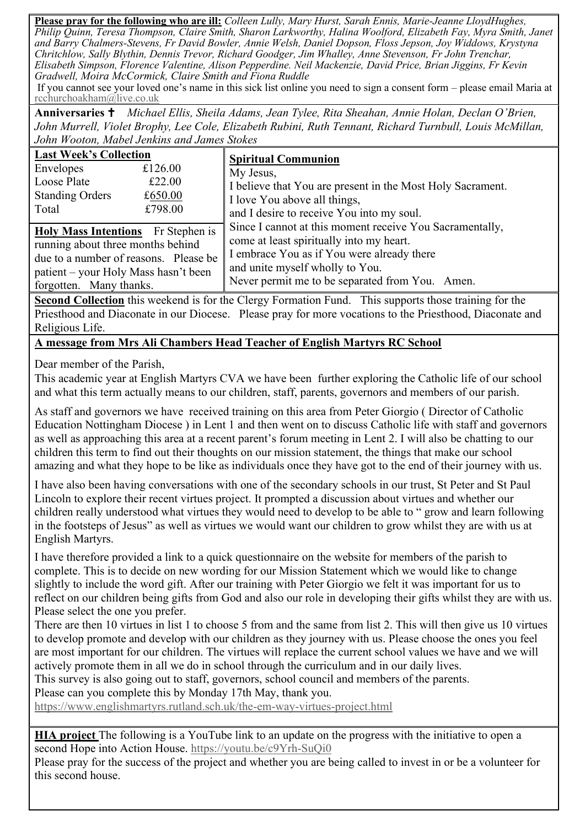**Please pray for the following who are ill:** *Colleen Lully, Mary Hurst, Sarah Ennis, Marie-Jeanne LloydHughes, Philip Quinn, Teresa Thompson, Claire Smith, Sharon Larkworthy, Halina Woolford, Elizabeth Fay, Myra Smith, Janet and Barry Chalmers-Stevens, Fr David Bowler, Annie Welsh, Daniel Dopson, Floss Jepson, Joy Widdows, Krystyna Chritchlow, Sally Blythin, Dennis Trevor, Richard Goodger, Jim Whalley, Anne Stevenson, Fr John Trenchar, Elisabeth Simpson, Florence Valentine, Alison Pepperdine. Neil Mackenzie, David Price, Brian Jiggins, Fr Kevin Gradwell, Moira McCormick, Claire Smith and Fiona Ruddle*

If you cannot see your loved one's name in this sick list online you need to sign a consent form – please email Maria at [rcchurchoakham@live.co.uk](mailto:rcchurchoakham@live.co.uk)

**Anniversaries**  *Michael Ellis, Sheila Adams, Jean Tylee, Rita Sheahan, Annie Holan, Declan O'Brien, John Murrell, Violet Brophy, Lee Cole, Elizabeth Rubini, Ruth Tennant, Richard Turnbull, Louis McMillan, John Wooton, Mabel Jenkins and James Stokes*

| <b>Last Week's Collection</b>                                                                                                                                                       | <b>Spiritual Communion</b>                                                                                                                                                                                                               |  |  |
|-------------------------------------------------------------------------------------------------------------------------------------------------------------------------------------|------------------------------------------------------------------------------------------------------------------------------------------------------------------------------------------------------------------------------------------|--|--|
| Envelopes<br>£126.00<br>Loose Plate<br>£22.00<br><b>Standing Orders</b><br>£650.00<br>£798.00<br>Total                                                                              | My Jesus,<br>I believe that You are present in the Most Holy Sacrament.<br>I love You above all things,<br>and I desire to receive You into my soul.                                                                                     |  |  |
| Holy Mass Intentions Fr Stephen is<br>running about three months behind<br>due to a number of reasons. Please be<br>patient – your Holy Mass hasn't been<br>forgotten. Many thanks. | Since I cannot at this moment receive You Sacramentally,<br>come at least spiritually into my heart.<br>I embrace You as if You were already there<br>and unite myself wholly to You.<br>Never permit me to be separated from You. Amen. |  |  |

**Second Collection** this weekend is for the Clergy Formation Fund. This supports those training for the Priesthood and Diaconate in our Diocese. Please pray for more vocations to the Priesthood, Diaconate and Religious Life.

**A message from Mrs Ali Chambers Head Teacher of English Martyrs RC School**

Dear member of the Parish,

This academic year at English Martyrs CVA we have been further exploring the Catholic life of our school and what this term actually means to our children, staff, parents, governors and members of our parish.

As staff and governors we have received training on this area from Peter Giorgio ( Director of Catholic Education Nottingham Diocese ) in Lent 1 and then went on to discuss Catholic life with staff and governors as well as approaching this area at a recent parent's forum meeting in Lent 2. I will also be chatting to our children this term to find out their thoughts on our mission statement, the things that make our school amazing and what they hope to be like as individuals once they have got to the end of their journey with us.

I have also been having conversations with one of the secondary schools in our trust, St Peter and St Paul Lincoln to explore their recent virtues project. It prompted a discussion about virtues and whether our children really understood what virtues they would need to develop to be able to " grow and learn following in the footsteps of Jesus" as well as virtues we would want our children to grow whilst they are with us at English Martyrs.

I have therefore provided a link to a quick questionnaire on the website for members of the parish to complete. This is to decide on new wording for our Mission Statement which we would like to change slightly to include the word gift. After our training with Peter Giorgio we felt it was important for us to reflect on our children being gifts from God and also our role in developing their gifts whilst they are with us. Please select the one you prefer.

There are then 10 virtues in list 1 to choose 5 from and the same from list 2. This will then give us 10 virtues to develop promote and develop with our children as they journey with us. Please choose the ones you feel are most important for our children. The virtues will replace the current school values we have and we will actively promote them in all we do in school through the curriculum and in our daily lives.

This survey is also going out to staff, governors, school council and members of the parents.

Please can you complete this by Monday 17th May, thank you.

<https://www.englishmartyrs.rutland.sch.uk/the-em-way-virtues-project.html>

**HIA project** The following is a YouTube link to an update on the progress with the initiative to open a second Hope into Action House. <https://youtu.be/c9Yrh-SuQi0>

Please pray for the success of the project and whether you are being called to invest in or be a volunteer for this second house.